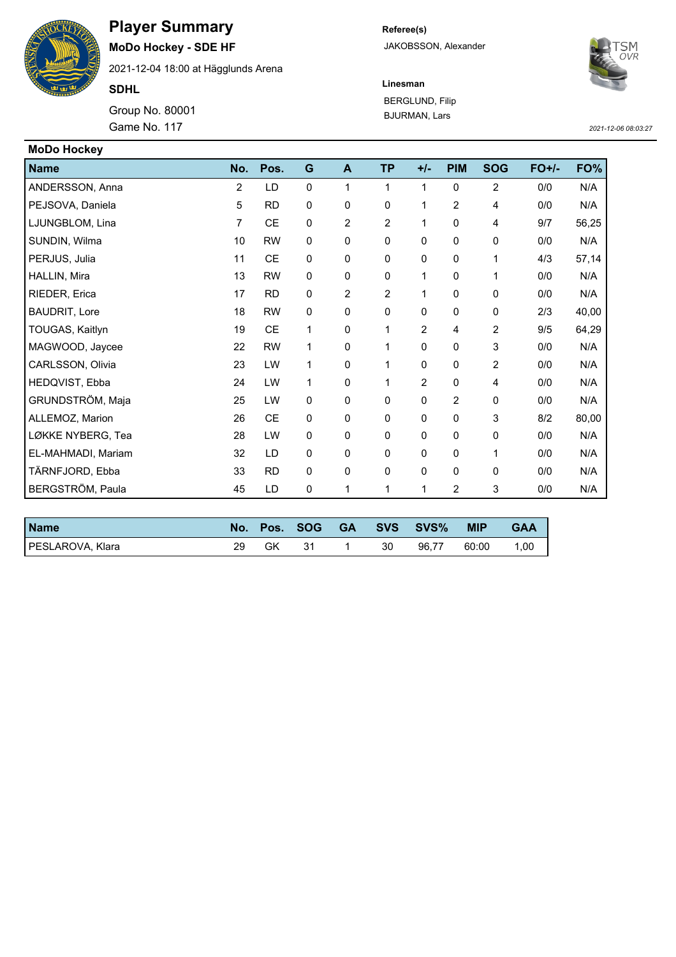

## **Player Summary**

**MoDo Hockey - SDE HF**

2021-12-04 18:00 at Hägglunds Arena

**SDHL**

Group No. 80001 Game No. 117 *2021-12-06 08:03:27*

## **Referee(s)** JAKOBSSON, Alexander



**Linesman** BERGLUND, Filip BJURMAN, Lars

| <b>MoDo Hockey</b>   |                |           |             |                |                |                |                |                |         |       |
|----------------------|----------------|-----------|-------------|----------------|----------------|----------------|----------------|----------------|---------|-------|
| <b>Name</b>          | No.            | Pos.      | G           | A              | <b>TP</b>      | $+/-$          | <b>PIM</b>     | <b>SOG</b>     | $FO+/-$ | FO%   |
| ANDERSSON, Anna      | $\overline{2}$ | LD        | $\mathbf 0$ | 1              | $\mathbf{1}$   | 1              | $\mathbf 0$    | $\overline{2}$ | 0/0     | N/A   |
| PEJSOVA, Daniela     | 5              | <b>RD</b> | 0           | 0              | 0              | $\mathbf{1}$   | $\overline{2}$ | 4              | 0/0     | N/A   |
| LJUNGBLOM, Lina      | 7              | <b>CE</b> | 0           | $\overline{2}$ | $\overline{2}$ | 1              | 0              | 4              | 9/7     | 56,25 |
| SUNDIN, Wilma        | 10             | <b>RW</b> | $\mathbf 0$ | 0              | 0              | 0              | 0              | 0              | 0/0     | N/A   |
| PERJUS, Julia        | 11             | CE        | $\mathbf 0$ | 0              | 0              | $\Omega$       | 0              | 1              | 4/3     | 57,14 |
| HALLIN, Mira         | 13             | <b>RW</b> | 0           | 0              | 0              | 1              | 0              | 1              | 0/0     | N/A   |
| RIEDER, Erica        | 17             | <b>RD</b> | $\mathbf 0$ | $\overline{2}$ | $\overline{2}$ | $\mathbf{1}$   | 0              | 0              | 0/0     | N/A   |
| <b>BAUDRIT, Lore</b> | 18             | <b>RW</b> | $\mathbf 0$ | $\Omega$       | $\Omega$       | $\mathbf{0}$   | 0              | 0              | 2/3     | 40,00 |
| TOUGAS, Kaitlyn      | 19             | CE        | 1           | 0              | 1              | $\overline{2}$ | 4              | 2              | 9/5     | 64,29 |
| MAGWOOD, Jaycee      | 22             | <b>RW</b> | 1           | 0              | 1              | $\Omega$       | 0              | 3              | 0/0     | N/A   |
| CARLSSON, Olivia     | 23             | LW        | 1           | 0              | 1              | 0              | 0              | 2              | 0/0     | N/A   |
| HEDQVIST, Ebba       | 24             | LW        | 1           | 0              | $\mathbf{1}$   | $\overline{2}$ | 0              | 4              | 0/0     | N/A   |
| GRUNDSTRÖM, Maja     | 25             | LW        | $\mathbf 0$ | 0              | 0              | $\Omega$       | $\overline{2}$ | 0              | 0/0     | N/A   |
| ALLEMOZ, Marion      | 26             | <b>CE</b> | 0           | 0              | 0              | 0              | 0              | 3              | 8/2     | 80,00 |
| LØKKE NYBERG, Tea    | 28             | LW        | 0           | 0              | 0              | 0              | 0              | 0              | 0/0     | N/A   |
| EL-MAHMADI, Mariam   | 32             | LD        | 0           | 0              | 0              | $\Omega$       | 0              | 1              | 0/0     | N/A   |
| TÄRNFJORD, Ebba      | 33             | <b>RD</b> | 0           | 0              | 0              | 0              | 0              | 0              | 0/0     | N/A   |
| BERGSTRÖM, Paula     | 45             | LD        | 0           | 1              | 1              | 1              | 2              | 3              | 0/0     | N/A   |

| <b>Name</b>      |    | No. Pos. SOG |    | GA SVS SVS% | <b>MIP</b> | <b>GAA</b> |
|------------------|----|--------------|----|-------------|------------|------------|
| PESLAROVA, Klara | GK | 31           | 30 | 96.77       | 60:00      | 1,00       |